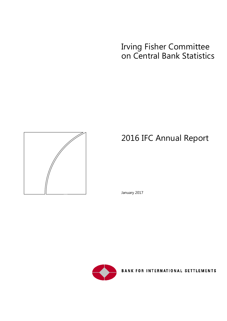## Irving Fisher Committee on Central Bank Statistics



# 2016 IFC Annual Report

January 2017



**BANK FOR INTERNATIONAL SETTLEMENTS**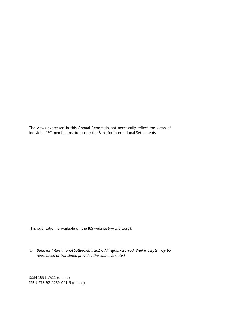The views expressed in this Annual Report do not necessarily reflect the views of individual IFC member institutions or the Bank for International Settlements.

This publication is available on the BIS website [\(www.bis.org\)](http://www.bis.org/).

*© Bank for International Settlements 2017. All rights reserved. Brief excerpts may be reproduced or translated provided the source is stated.*

ISSN 1991-7511 (online) ISBN 978-92-9259-021-5 (online)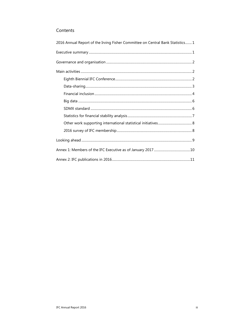#### Contents

| 2016 Annual Report of the Irving Fisher Committee on Central Bank Statistics1 |
|-------------------------------------------------------------------------------|
|                                                                               |
|                                                                               |
|                                                                               |
|                                                                               |
|                                                                               |
|                                                                               |
|                                                                               |
|                                                                               |
|                                                                               |
|                                                                               |
|                                                                               |
|                                                                               |
|                                                                               |
|                                                                               |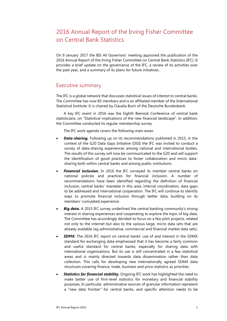### <span id="page-4-0"></span>2016 Annual Report of the Irving Fisher Committee on Central Bank Statistics

On 9 January 2017 the BIS All Governors' meeting approved the publication of the 2016 Annual Report of the Irving Fisher Committee on Central Bank Statistics (IFC). It provides a brief update on the governance of the IFC, a review of its activities over the past year, and a summary of its plans for future initiatives.

#### <span id="page-4-1"></span>Executive summary

The IFC is a global network that discusses statistical issues of interest to central banks. The Committee has now 85 members and is an affiliated member of the International Statistical Institute. It is chaired by Claudia Buch of the Deutsche Bundesbank.

A key IFC event in 2016 was the Eighth Biennial Conference of central bank statisticians, on "Statistical implications of the new financial landscape". In addition, the Committee conducted its regular membership survey.

The IFC work agenda covers the following main areas:

- *Data-sharing.* Following up on its recommendations published in 2015, in the context of the G20 Data Gaps Initiative (DGI) the IFC was invited to conduct a survey of data-sharing experiences among national and international bodies. The results of this survey will now be communicated to the G20 and will support the identification of good practices to foster collaboration and micro datasharing both within central banks and among public institutions.
- *Financial inclusion.* In 2016 the IFC surveyed its member central banks on national policies and practices for financial inclusion. A number of recommendations have been identified regarding the definition of financial inclusion, central banks' mandate in this area, internal coordination, data gaps to be addressed and international cooperation. The IFC will continue to identify ways to promote financial inclusion through better data, building on its members' cumulated experience.
- **Big data.** A 2015 IFC survey underlined the central banking community's strong interest in sharing experiences and cooperating to explore the topic of big data. The Committee has accordingly decided to focus on a few pilot projects, related not only to the internet but also to the various large, micro data sets that are already available (eg administrative, commercial and financial market data sets).
- *SDMX.* The 2016 IFC report on central banks' use of and interest in the SDMX standard for exchanging data emphasised that it has become a fairly common and useful standard for central banks, especially for sharing data with international organisations. But its use is still concentrated in a few statistical areas and is mainly directed towards data dissemination rather than data collection. This calls for developing new internationally agreed SDMX data structures covering finance, trade, business and price statistics as priorities.
- *Statistics for financial stability.* Ongoing IFC work has highlighted the need to make better use of firm-level statistics for monetary and financial stability purposes. In particular, administrative sources of granular information represent a "new data frontier" for central banks, and specific attention needs to be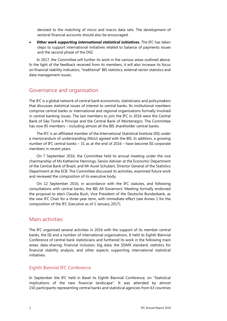devoted to the matching of micro and macro data sets. The development of sectoral financial accounts should also be encouraged.

• *Other work supporting international statistical initiatives.* The IFC has taken steps to support international initiatives related to balance of payments issues and the second phase of the DGI.

In 2017, the Committee will further its work in the various areas outlined above. In the light of the feedback received from its members, it will also increase its focus on financial stability indicators, "traditional" BIS statistics, external sector statistics and data management issues.

#### <span id="page-5-0"></span>Governance and organisation

The IFC is a global network of central bank economists, statisticians and policymakers that discusses statistical issues of interest to central banks. Its institutional members comprise central banks or international and regional organisations formally involved in central banking issues. The last members to join the IFC in 2016 were the Central Bank of São Tomé e Príncipe and the Central Bank of Montenegro. The Committee has now 85 members – including almost all the BIS shareholder central banks.

The IFC is an affiliated member of the International Statistical Institute (ISI) under a memorandum of understanding (MoU) agreed with the BIS. In addition, a growing number of IFC central banks – 31 as at the end of 2016 – have become ISI corporate members in recent years.

On 7 September 2016, the Committee held its annual meeting under the vice chairmanship of Ms Katherine Hennings, Senior Adviser at the Economic Department of the Central Bank of Brazil, and Mr Aurel Schubert, Director General of the Statistics Department at the ECB. The Committee discussed its activities, examined future work and reviewed the composition of its executive body.

On 12 September 2016, in accordance with the IFC statutes, and following consultations with central banks, the BIS All Governors' Meeting formally endorsed the proposal to elect Claudia Buch, Vice President of the Deutsche Bundesbank, as the new IFC Chair for a three-year term, with immediate effect (see Annex 1 for the composition of the IFC Executive as of 1 January 2017).

#### <span id="page-5-1"></span>Main activities

The IFC organised several activities in 2016 with the support of its member central banks, the ISI and a number of international organisations. It held its Eighth Biennial Conference of central bank statisticians and furthered its work in the following main areas: data-sharing; financial inclusion; big data; the SDMX standard; statistics for financial stability analysis; and other aspects supporting international statistical initiatives.

#### <span id="page-5-2"></span>Eighth Biennial IFC Conference

In September the IFC held in Basel its Eighth Biennial Conference, on "Statistical implications of the new financial landscape". It was attended by almost 150 participants representing central banks and statistical agencies from 63 countries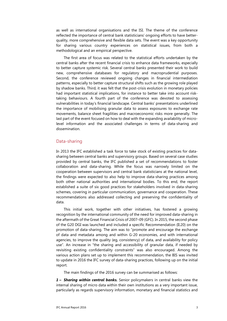as well as international organisations and the ISI. The theme of the conference reflected the importance of central bank statisticians' ongoing efforts to have betterquality, more comprehensive and flexible data sets. The event was a key opportunity for sharing various country experiences on statistical issues, from both a methodological and an empirical perspective.

The first area of focus was related to the statistical efforts undertaken by the central banks after the recent financial crisis to enhance data frameworks, especially to better capture systemic risk. Several central banks presented their work to build new, comprehensive databases for regulatory and macroprudential purposes. Second, the conference reviewed ongoing changes in financial intermediation patterns, especially to better capture structural shifts such as the growing role played by shadow banks. Third, it was felt that the post-crisis evolution in monetary policies had important statistical implications, for instance to better take into account risktaking behaviours. A fourth part of the conference was devoted to assessing vulnerabilities in today's financial landscape. Central banks' presentations underlined the importance of mobilising granular data to assess exposures to exchange rate movements, balance sheet fragilities and macroeconomic risks more generally. The last part of the event focused on how to deal with the expanding availability of microlevel information and the associated challenges in terms of data-sharing and dissemination.

#### <span id="page-6-0"></span>Data-sharing

In 2013 the IFC established a task force to take stock of existing practices for datasharing between central banks and supervisory groups. Based on several case studies provided by central banks, the IFC published a set of recommendations to foster collaboration and data-sharing. While the focus was narrowly limited on the cooperation between supervisors and central bank statisticians at the national level, the findings were expected to also help to improve data-sharing practices among both other national authorities and international bodies. To this end, the report established a suite of six good practices for stakeholders involved in data-sharing schemes, covering in particular communication, governance and cooperation. These recommendations also addressed collecting and preserving the confidentiality of data.

This initial work, together with other initiatives, has fostered a growing recognition by the international community of the need for improved data-sharing in the aftermath of the Great Financial Crisis of 2007–09 (GFC). In 2015, the second phase of the G20 DGI was launched and included a specific Recommendation (II.20) on the promotion of data-sharing. The aim was to "promote and encourage the exchange of data and metadata among and within G-20 economies, and with international agencies, to improve the quality (eg, consistency) of data, and availability for policy use". An increase in "the sharing and accessibility of granular data, if needed by revisiting existing confidentiality constraints" was also encouraged. Among the various action plans set up to implement this recommendation, the BIS was invited to update in 2016 the IFC survey of data-sharing practices, following up on the initial report.

The main findings of the 2016 survey can be summarised as follows:

*1 – Sharing within central banks.* Senior policymakers in central banks view the internal sharing of micro data within their own institutions as a very important issue, particularly as regards supervisory information, monetary and financial statistics and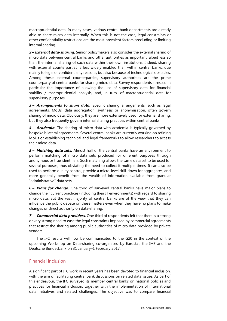macroprudential data. In many cases, various central bank departments are already able to share micro data internally. When this is not the case, legal constraints or other confidentiality restrictions are the most prevalent factors precluding or limiting internal sharing.

*2 – External data-sharing.* Senior policymakers also consider the external sharing of micro data between central banks and other authorities as important, albeit less so than the internal sharing of such data within their own institutions. Indeed, sharing with external counterparties is less widely enabled than within central banks, due mainly to legal or confidentiality reasons, but also because of technological obstacles. Among these external counterparties, supervisory authorities are the prime counterparty of central banks for sharing micro data. Survey respondents stressed in particular the importance of allowing the use of supervisory data for financial stability / macroprudential analysis, and, in turn, of macroprudential data for supervisory purposes.

*3 – Arrangements to share data.* Specific sharing arrangements, such as legal agreements, MoUs, data aggregation, synthesis or anonymisation, often govern sharing of micro data. Obviously, they are more extensively used for external sharing, but they also frequently govern internal sharing practices within central banks.

*4 – Academia.* The sharing of micro data with academia is typically governed by bespoke bilateral agreements. Several central banks are currently working on refining MoUs or establishing technical and legal frameworks to allow researchers to access their micro data.

*5 – Matching data sets.* Almost half of the central banks have an environment to perform matching of micro data sets produced for different purposes through anonymous or true identifiers. Such matching allows the same data set to be used for several purposes, thus obviating the need to collect it multiple times. It can also be used to perform quality control, provide a micro-level drill-down for aggregates, and more generally benefit from the wealth of information available from granular "administrative" data sets.

*6 – Plans for change.* One third of surveyed central banks have major plans to change their current practices (including their IT environments) with regard to sharing micro data. But the vast majority of central banks are of the view that they can influence the public debate on these matters even when they have no plans to make changes or direct authority on data-sharing.

*7 – Commercial data providers.* One third of respondents felt that there is a strong or very strong need to ease the legal constraints imposed by commercial agreements that restrict the sharing among public authorities of micro data provided by private vendors.

The IFC results will now be communicated to the G20 in the context of the upcoming Workshop on Data-sharing co-organised by Eurostat, the IMF and the Deutsche Bundesbank on 31 January–1 February 2017.

#### <span id="page-7-0"></span>Financial inclusion

A significant part of IFC work in recent years has been devoted to financial inclusion, with the aim of facilitating central bank discussions on related data issues. As part of this endeavour, the IFC surveyed its member central banks on national policies and practices for financial inclusion, together with the implementation of international data initiatives and related challenges. The objective was to compare financial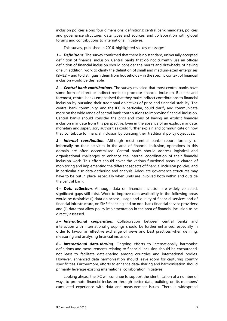inclusion policies along four dimensions: definitions; central bank mandates, policies and governance structures; data types and sources; and collaboration with global forums and contributions to international initiatives.

This survey, published in 2016, highlighted six key messages:

*1 – Definitions.* The survey confirmed that there is no standard, universally accepted definition of financial inclusion. Central banks that do not currently use an official definition of financial inclusion should consider the merits and drawbacks of having one. In addition, work to clarify the definition of small and medium-sized enterprises (SMEs) – and to distinguish them from households – in the specific context of financial inclusion would be desirable.

*2 – Central bank contributions.* The survey revealed that most central banks have some form of direct or indirect remit to promote financial inclusion. But first and foremost, central banks emphasised that they make indirect contributions to financial inclusion by pursuing their traditional objectives of price and financial stability. The central bank community, and the IFC in particular, could clarify and communicate more on the wide range of central bank contributions to improving financial inclusion. Central banks should consider the pros and cons of having an explicit financial inclusion mandate from this perspective. Even in the absence of an explicit mandate, monetary and supervisory authorities could further explain and communicate on how they contribute to financial inclusion by pursuing their traditional policy objectives.

*3 – Internal coordination.* Although most central banks report formally or informally on their activities in the area of financial inclusion, operations in this domain are often decentralised. Central banks should address logistical and organisational challenges to enhance the internal coordination of their financial inclusion work. This effort should cover the various functional areas in charge of monitoring and implementing the different aspects of financial inclusion policies, and in particular also data-gathering and analysis. Adequate governance structures may have to be put in place, especially when units are involved both within and outside the central bank.

*4 – Data collection.* Although data on financial inclusion are widely collected, significant gaps still exist. Work to improve data availability in the following areas would be desirable: (i) data on access, usage and quality of financial services and of financial infrastructure, on SME financing and on non-bank financial service providers; and (ii) data that allow policy implementation in the area of financial inclusion to be directly assessed.

*5 – International cooperation.* Collaboration between central banks and interaction with international groupings should be further enhanced, especially in order to favour an effective exchange of views and best practices when defining, measuring and analysing financial inclusion.

*6 – International data-sharing.* Ongoing efforts to internationally harmonise definitions and measurements relating to financial inclusion should be encouraged, not least to facilitate data-sharing among countries and international bodies. However, enhanced data harmonisation should leave room for capturing country specificities. Furthermore, efforts to enhance data-sharing and harmonisation should primarily leverage existing international collaboration initiatives.

Looking ahead, the IFC will continue to support the identification of a number of ways to promote financial inclusion through better data, building on its members' cumulated experience with data and measurement issues. There is widespread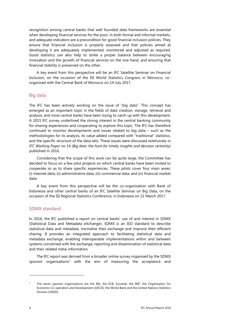recognition among central banks that well founded data frameworks are essential when developing financial services for the poor, in both formal and informal markets, and adequate indicators are a precondition for good financial inclusion policies. They ensure that financial inclusion is properly assessed and that policies aimed at developing it are adequately implemented, monitored and adjusted as required. Good statistics can also help to strike a proper balance between encouraging innovation and the growth of financial services on the one hand, and ensuring that financial stability is preserved on the other.

A key event from this perspective will be an IFC Satellite Seminar on Financial Inclusion, on the occasion of the ISI World Statistics Congress in Morocco, coorganised with the Central Bank of Morocco on 14 July 2017.

#### <span id="page-9-0"></span>Big data

The IFC has been actively working on the issue of "big data". This concept has emerged as an important topic in the fields of data creation, storage, retrieval and analysis, and most central banks have been trying to catch up with this development. A 2015 IFC survey underlined the strong interest in the central banking community for sharing experiences and cooperating to explore this topic. The IFC has therefore continued to monitor developments and issues related to big data – such as the methodologies for its analysis, its value added compared with "traditional" statistics, and the specific structure of the data sets. These issues were discussed extensively in *IFC Working Paper* no 14 (*Big data: the hunt for timely insights and decision certainty*) published in 2016.

Considering that the scope of this work can be quite large, the Committee has decided to focus on a few pilot projects on which central banks have been invited to cooperate so as to share specific experiences. These pilots cover four main areas: (i) internet data; (ii) administrative data; (iii) commercial data; and (iv) financial market data.

A key event from this perspective will be the co-organisation with Bank of Indonesia and other central banks of an IFC Satellite Seminar on Big Data, on the occasion of the ISI Regional Statistics Conference, in Indonesia on 21 March 2017.

#### <span id="page-9-1"></span>SDMX standard

In 2016, the IFC published a report on central banks' use of and interest in SDMX (Statistical Data and Metadata eXchange). SDMX is an ISO standard to describe statistical data and metadata, normalise their exchange and improve their efficient sharing. It provides an integrated approach to facilitating statistical data and metadata exchange, enabling interoperable implementations within and between systems concerned with the exchange, reporting and dissemination of statistical data and their related meta-information.

The IFC report was derived from a broader online survey organised by the SDMX sponsor organisations<sup>[1](#page-9-2)</sup> with the aim of measuring the acceptance and

1

<span id="page-9-2"></span><sup>&</sup>lt;sup>1</sup> The seven sponsor organisations are the BIS, the ECB, Eurostat, the IMF, the Organisation for Economic Co-operation and Development (OECD), the World Bank and the United Nations Statistics Division (UNSD).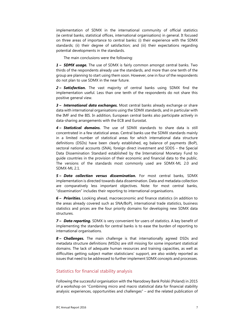implementation of SDMX in the international community of official statistics (ie central banks, statistical offices, international organisations) in general. It focused on three areas of importance to central banks: (i) their experience with the SDMX standards; (ii) their degree of satisfaction; and (iii) their expectations regarding potential developments in the standards.

The main conclusions were the following:

*1 – SDMX usage.* The use of SDMX is fairly common amongst central banks. Two thirds of the respondents already use the standards, and more than one tenth of the group are planning to start using them soon. However, one in four of the respondents do not plan to use SDMX in the near future.

*2 – Satisfaction.* The vast majority of central banks using SDMX find the implementation useful. Less than one tenth of the respondents do not share this positive general view.

*3 – International data exchanges.* Most central banks already exchange or share data with international organisations using the SDMX standards, and in particular with the IMF and the BIS. In addition, European central banks also participate actively in data-sharing arrangements with the ECB and Eurostat.

*4 – Statistical domains.* The use of SDMX standards to share data is still concentrated in a few statistical areas. Central banks use the SDMX standards mainly in a limited number of statistical areas for which international data structure definitions (DSDs) have been clearly established, eg balance of payments (BoP), sectoral national accounts (SNA), foreign direct investment and SDDS – the Special Data Dissemination Standard established by the International Monetary Fund to guide countries in the provision of their economic and financial data to the public. The versions of the standards most commonly used are SDMX-ML 2.0 and SDMX-ML 2.1.

*5 – Data collection versus dissemination.* For most central banks, SDMX implementation is directed towards data dissemination. Data and metadata collection are comparatively less important objectives. Note: for most central banks, "dissemination" includes their reporting to international organisations.

*6 – Priorities.* Looking ahead, macroeconomic and finance statistics (in addition to the areas already covered such as SNA/BoP), international trade statistics, business statistics and prices are the four priority domains for developing new SDMX data structures.

*7 – Data reporting.* SDMX is very convenient for users of statistics. A key benefit of implementing the standards for central banks is to ease the burden of reporting to international organisations.

*8 – Challenges.* The main challenge is that internationally agreed DSDs and metadata structure definitions (MSDs) are still missing for some important statistical domains. The lack of adequate human resources and training capacities, as well as difficulties getting subject matter statisticians' support, are also widely reported as issues that need to be addressed to further implement SDMX concepts and processes.

#### <span id="page-10-0"></span>Statistics for financial stability analysis

Following the successful organisation with the Narodowy Bank Polski (Poland) in 2015 of a workshop on "Combining micro and macro statistical data for financial stability analysis: experiences, opportunities and challenges" – and the related publication of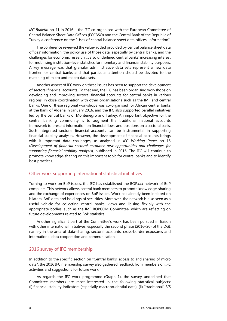*IFC Bulletin* no 41 in 2016 – the IFC co-organised with the European Committee of Central Balance Sheet Data Offices (ECCBSO) and the Central Bank of the Republic of Turkey a conference on the "Uses of central balance sheet data offices' information".

The conference reviewed the value-added provided by central balance sheet data offices' information, the policy use of those data, especially by central banks, and the challenges for economic research. It also underlined central banks' increasing interest for mobilising institution-level statistics for monetary and financial stability purposes. A key message was that granular administrative data sets represent a new data frontier for central banks and that particular attention should be devoted to the matching of micro and macro data sets.

Another aspect of IFC work on these issues has been to support the development of sectoral financial accounts. To that end, the IFC has been organising workshops on developing and improving sectoral financial accounts for central banks in various regions, in close coordination with other organisations such as the IMF and central banks. One of these regional workshops was co-organised for African central banks at the Bank of Algeria in January 2016, and the IFC also supported parallel initiatives led by the central banks of Montenegro and Turkey. An important objective for the central banking community is to augment the traditional national accounts framework to present information on financial flows and positions on a sectoral basis. Such integrated sectoral financial accounts can be instrumental in supporting financial stability analyses. However, the development of financial accounts brings with it important data challenges, as analysed in *IFC Working Paper* no 15 (*Development of financial sectoral accounts: new opportunities and challenges for supporting financial stability analysis*), published in 2016. The IFC will continue to promote knowledge-sharing on this important topic for central banks and to identify best practices.

#### <span id="page-11-0"></span>Other work supporting international statistical initiatives

Turning to work on BoP issues, the IFC has established the BOP.*net* network of BoP compilers. This network allows central bank members to promote knowledge-sharing and the exchange of experiences on BoP issues. Work has already been initiated on bilateral BoP data and holdings of securities. Moreover, the network is also seen as a useful vehicle for collecting central banks' views and liaising flexibly with the appropriate bodies, such as the IMF BOPCOM Committee, which are reflecting on future developments related to BoP statistics.

Another significant part of the Committee's work has been pursued in liaison with other international initiatives, especially the second phase (2016–20) of the DGI, namely in the area of data-sharing, sectoral accounts, cross-border exposures and international data cooperation and communication.

#### <span id="page-11-1"></span>2016 survey of IFC membership

In addition to the specific section on "Central banks' access to and sharing of micro data", the 2016 IFC membership survey also gathered feedback from members on IFC activities and suggestions for future work.

As regards the IFC work programme (Graph 1), the survey underlined that Committee members are most interested in the following statistical subjects: (i) financial stability indicators (especially macroprudential data); (ii) "traditional" BIS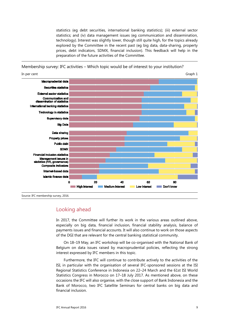statistics (eg debt securities, international banking statistics); (iii) external sector statistics; and (iv) data management issues (eg communication and dissemination, technology). Interest was slightly lower, though still quite high, for the topics already explored by the Committee in the recent past (eg big data, data-sharing, property prices, debt indicators, SDMX, financial inclusion). This feedback will help in the preparation of the future activities of the Committee.

Membership survey: IFC activities – Which topic would be of interest to your institution?



Source: IFC membership survey, 2016.

#### <span id="page-12-0"></span>Looking ahead

In 2017, the Committee will further its work in the various areas outlined above, especially on big data, financial inclusion, financial stability analysis, balance of payments issues and financial accounts. It will also continue to work on those aspects of the DGI that are relevant for the central banking statistical community.

On 18–19 May, an IFC workshop will be co-organised with the National Bank of Belgium on data issues raised by macroprudential policies, reflecting the strong interest expressed by IFC members in this topic.

<span id="page-12-1"></span>Furthermore, the IFC will continue to contribute actively to the activities of the ISI, in particular with the organisation of several IFC-sponsored sessions at the ISI Regional Statistics Conference in Indonesia on 22–24 March and the 61st ISI World Statistics Congress in Morocco on 17–18 July 2017. As mentioned above, on these occasions the IFC will also organise, with the close support of Bank Indonesia and the Bank of Morocco, two IFC Satellite Seminars for central banks on big data and financial inclusion.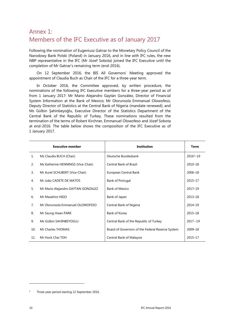### Annex 1: Members of the IFC Executive as of January 2017

Following the nomination of Eugeniusz Gatnar to the Monetary Policy Council of the Narodowy Bank Polski (Poland) in January 2016, and in line with IFC rules, the new NBP representative in the IFC (Mr Józef Sobota) joined the IFC Executive until the completion of Mr Gatnar's remaining term (end-2016).

On 12 September 2016, the BIS All Governors' Meeting approved the appointment of Claudia Buch as Chair of the IFC for a three-year term.

In October 2016, the Committee approved, by written procedure, the nominations of the following IFC Executive members for a three-year period as of from 1 January 2017: Mr Mario Alejandro Gaytán González, Director of Financial System Information at the Bank of Mexico; Mr Olorunsola Emmanuel Olowofeso, Deputy Director of Statistics at the Central Bank of Nigeria (mandate renewed); and Ms Gülbin Şahinbeyoğlu, Executive Director of the Statistics Department of the Central Bank of the Republic of Turkey. These nominations resulted from the termination of the terms of Robert Kirchner, Emmanuel Olowofeso and Józef Sobota at end-2016. The table below shows the composition of the IFC Executive as of 1 January 2017.

|                | <b>Executive member</b>            | <b>Institution</b>                               | <b>Term</b>   |
|----------------|------------------------------------|--------------------------------------------------|---------------|
| $\mathbf{1}$ . | Ms Claudia BUCH (Chair)            | Deutsche Bundesbank                              | $2016^2 - 19$ |
| 2.             | Ms Katherine HENNINGS (Vice-Chair) | <b>Central Bank of Brazil</b>                    | 2010-18       |
| 3.             | Mr Aurel SCHUBERT (Vice-Chair)     | European Central Bank                            | 2006-18       |
| 4.             | Mr João CADETE DE MATOS            | Bank of Portugal                                 | 2015-17       |
| 5.             | Mr Mario Alejandro GAYTAN GONZALEZ | <b>Bank of Mexico</b>                            | 2017-19       |
| 6.             | Mr Masahiro HIGO                   | Bank of Japan                                    | 2013-18       |
| 7 <sub>1</sub> | Mr Olorunsola Emmanuel OLOWOFESO   | Central Bank of Nigeria                          | 2014-19       |
| 8.             | Mr Seung Hwan PARK                 | Bank of Korea                                    | 2015-18       |
| 9.             | Ms Gülbin SAHINBEYOGLU             | Central Bank of the Republic of Turkey           | $2017 - 19$   |
| 10.            | Mr Charles THOMAS                  | Board of Governors of the Federal Reserve System | 2009-18       |
| 11.            | Mr Hock Chai TOH                   | Central Bank of Malaysia                         | 2015-17       |

-

<span id="page-13-0"></span><sup>2</sup> Three-year period starting 12 September 2016.